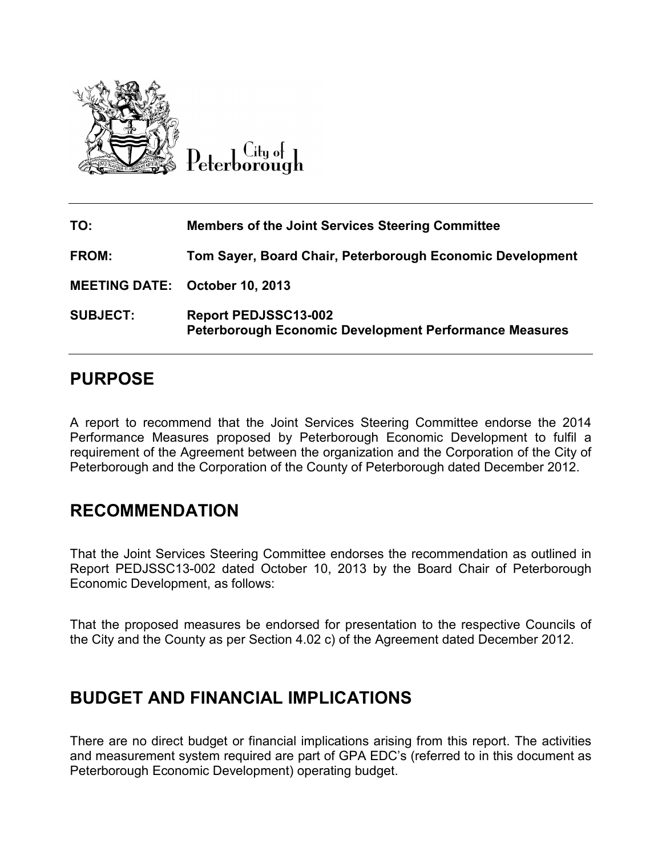

| TO:             | <b>Members of the Joint Services Steering Committee</b>                                      |
|-----------------|----------------------------------------------------------------------------------------------|
| <b>FROM:</b>    | Tom Sayer, Board Chair, Peterborough Economic Development                                    |
|                 | <b>MEETING DATE: October 10, 2013</b>                                                        |
| <b>SUBJECT:</b> | <b>Report PEDJSSC13-002</b><br><b>Peterborough Economic Development Performance Measures</b> |

# **PURPOSE**

A report to recommend that the Joint Services Steering Committee endorse the 2014 Performance Measures proposed by Peterborough Economic Development to fulfil a requirement of the Agreement between the organization and the Corporation of the City of Peterborough and the Corporation of the County of Peterborough dated December 2012.

# **RECOMMENDATION**

That the Joint Services Steering Committee endorses the recommendation as outlined in Report PEDJSSC13-002 dated October 10, 2013 by the Board Chair of Peterborough Economic Development, as follows:

That the proposed measures be endorsed for presentation to the respective Councils of the City and the County as per Section 4.02 c) of the Agreement dated December 2012.

# **BUDGET AND FINANCIAL IMPLICATIONS**

There are no direct budget or financial implications arising from this report. The activities and measurement system required are part of GPA EDC's (referred to in this document as Peterborough Economic Development) operating budget.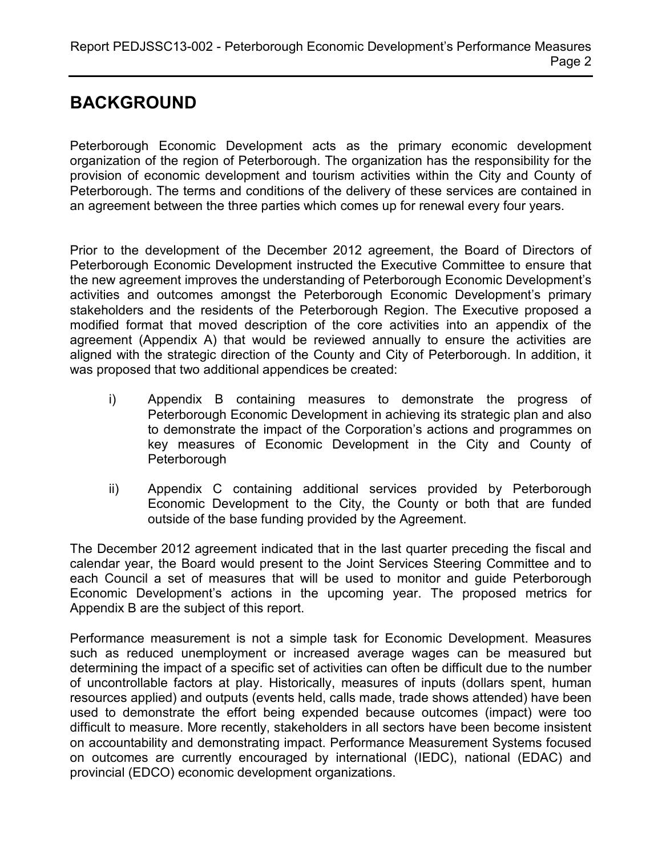# **BACKGROUND**

Peterborough Economic Development acts as the primary economic development organization of the region of Peterborough. The organization has the responsibility for the provision of economic development and tourism activities within the City and County of Peterborough. The terms and conditions of the delivery of these services are contained in an agreement between the three parties which comes up for renewal every four years.

Prior to the development of the December 2012 agreement, the Board of Directors of Peterborough Economic Development instructed the Executive Committee to ensure that the new agreement improves the understanding of Peterborough Economic Development's activities and outcomes amongst the Peterborough Economic Development's primary stakeholders and the residents of the Peterborough Region. The Executive proposed a modified format that moved description of the core activities into an appendix of the agreement (Appendix A) that would be reviewed annually to ensure the activities are aligned with the strategic direction of the County and City of Peterborough. In addition, it was proposed that two additional appendices be created:

- i) Appendix B containing measures to demonstrate the progress of Peterborough Economic Development in achieving its strategic plan and also to demonstrate the impact of the Corporation's actions and programmes on key measures of Economic Development in the City and County of **Peterborough**
- ii) Appendix C containing additional services provided by Peterborough Economic Development to the City, the County or both that are funded outside of the base funding provided by the Agreement.

The December 2012 agreement indicated that in the last quarter preceding the fiscal and calendar year, the Board would present to the Joint Services Steering Committee and to each Council a set of measures that will be used to monitor and guide Peterborough Economic Development's actions in the upcoming year. The proposed metrics for Appendix B are the subject of this report.

Performance measurement is not a simple task for Economic Development. Measures such as reduced unemployment or increased average wages can be measured but determining the impact of a specific set of activities can often be difficult due to the number of uncontrollable factors at play. Historically, measures of inputs (dollars spent, human resources applied) and outputs (events held, calls made, trade shows attended) have been used to demonstrate the effort being expended because outcomes (impact) were too difficult to measure. More recently, stakeholders in all sectors have been become insistent on accountability and demonstrating impact. Performance Measurement Systems focused on outcomes are currently encouraged by international (IEDC), national (EDAC) and provincial (EDCO) economic development organizations.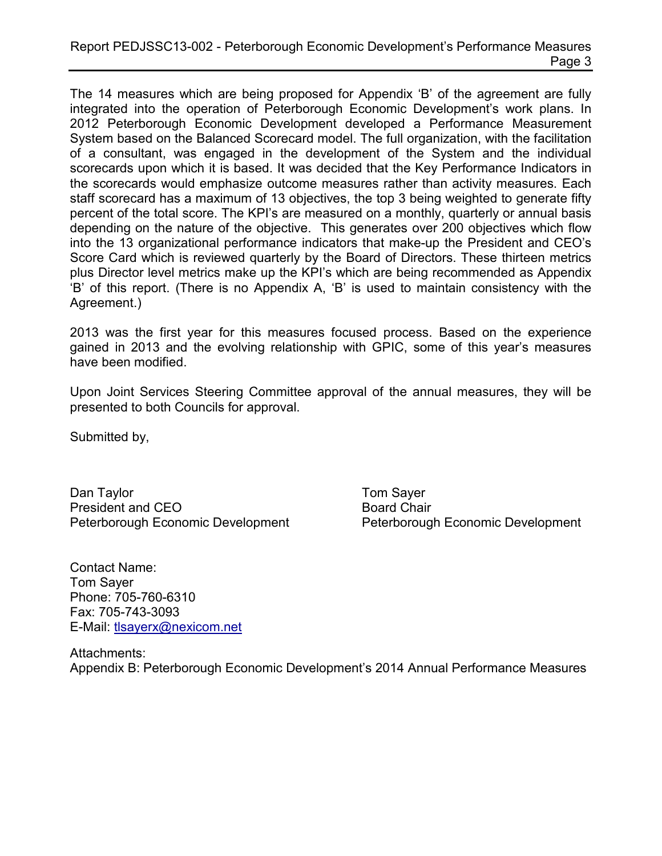The 14 measures which are being proposed for Appendix 'B' of the agreement are fully integrated into the operation of Peterborough Economic Development's work plans. In 2012 Peterborough Economic Development developed a Performance Measurement System based on the Balanced Scorecard model. The full organization, with the facilitation of a consultant, was engaged in the development of the System and the individual scorecards upon which it is based. It was decided that the Key Performance Indicators in the scorecards would emphasize outcome measures rather than activity measures. Each staff scorecard has a maximum of 13 objectives, the top 3 being weighted to generate fifty percent of the total score. The KPI's are measured on a monthly, quarterly or annual basis depending on the nature of the objective. This generates over 200 objectives which flow into the 13 organizational performance indicators that make-up the President and CEO's Score Card which is reviewed quarterly by the Board of Directors. These thirteen metrics plus Director level metrics make up the KPI's which are being recommended as Appendix 'B' of this report. (There is no Appendix A, 'B' is used to maintain consistency with the Agreement.)

2013 was the first year for this measures focused process. Based on the experience gained in 2013 and the evolving relationship with GPIC, some of this year's measures have been modified.

Upon Joint Services Steering Committee approval of the annual measures, they will be presented to both Councils for approval.

Submitted by,

Dan Taylor **Tom Sayer** Tom Sayer President and CEO Board Chair Peterborough Economic Development Peterborough Economic Development

Contact Name: Tom Sayer Phone: 705-760-6310 Fax: 705-743-3093 E-Mail: [tlsayerx@nexicom.net](mailto:tlsayerx@nexicom.net)

Attachments: Appendix B: Peterborough Economic Development's 2014 Annual Performance Measures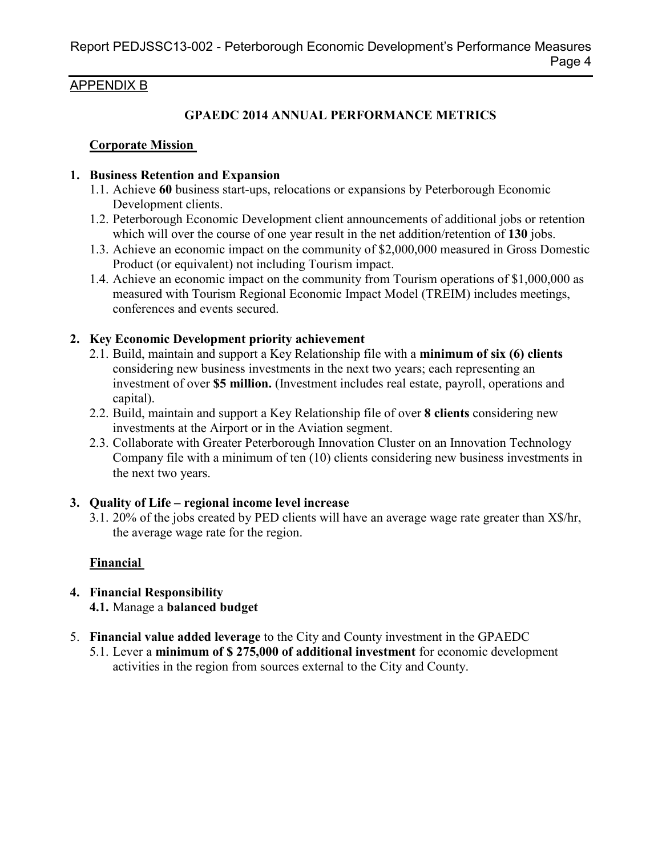#### APPENDIX B

### **GPAEDC 2014 ANNUAL PERFORMANCE METRICS**

#### **Corporate Mission**

#### **1. Business Retention and Expansion**

- 1.1. Achieve **60** business start-ups, relocations or expansions by Peterborough Economic Development clients.
- 1.2. Peterborough Economic Development client announcements of additional jobs or retention which will over the course of one year result in the net addition/retention of **130** jobs.
- 1.3. Achieve an economic impact on the community of \$2,000,000 measured in Gross Domestic Product (or equivalent) not including Tourism impact.
- 1.4. Achieve an economic impact on the community from Tourism operations of \$1,000,000 as measured with Tourism Regional Economic Impact Model (TREIM) includes meetings, conferences and events secured.

#### **2. Key Economic Development priority achievement**

- 2.1. Build, maintain and support a Key Relationship file with a **minimum of six (6) clients** considering new business investments in the next two years; each representing an investment of over **\$5 million.** (Investment includes real estate, payroll, operations and capital).
- 2.2. Build, maintain and support a Key Relationship file of over **8 clients** considering new investments at the Airport or in the Aviation segment.
- 2.3. Collaborate with Greater Peterborough Innovation Cluster on an Innovation Technology Company file with a minimum of ten (10) clients considering new business investments in the next two years.

## **3. Quality of Life – regional income level increase**

3.1. 20% of the jobs created by PED clients will have an average wage rate greater than X\$/hr, the average wage rate for the region.

## **Financial**

- **4. Financial Responsibility 4.1.** Manage a **balanced budget**
- 5. **Financial value added leverage** to the City and County investment in the GPAEDC
	- 5.1. Lever a **minimum of \$ 275,000 of additional investment** for economic development activities in the region from sources external to the City and County.